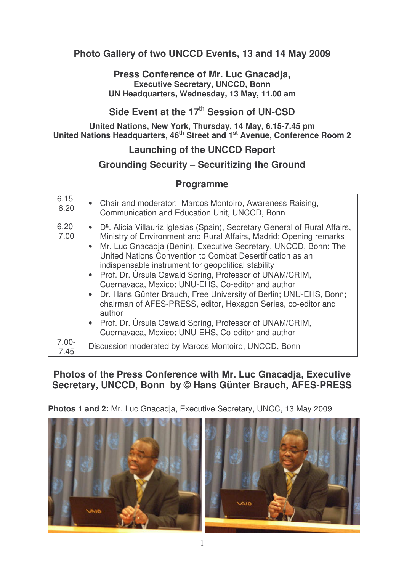### **Photo Gallery of two UNCCD Events, 13 and 14 May 2009**

#### **Press Conference of Mr. Luc Gnacadja, Executive Secretary, UNCCD, Bonn UN Headquarters, Wednesday, 13 May, 11.00 am**

# **Side Event at the 17 th Session of UN-CSD**

**United Nations, New York, Thursday, 14 May, 6.15-7.45 pm United Nations Headquarters, 46 th Street and 1 st Avenue, Conference Room 2**

# **Launching of the UNCCD Report**

### **Grounding Security – Securitizing the Ground**

#### **Programme**

| $6.15 -$<br>6.20 | • Chair and moderator: Marcos Montoiro, Awareness Raising,<br>Communication and Education Unit, UNCCD, Bonn                                                                                                                                                                                                                                                                                                                                                                                                                                                                                                                                                                                                                                               |
|------------------|-----------------------------------------------------------------------------------------------------------------------------------------------------------------------------------------------------------------------------------------------------------------------------------------------------------------------------------------------------------------------------------------------------------------------------------------------------------------------------------------------------------------------------------------------------------------------------------------------------------------------------------------------------------------------------------------------------------------------------------------------------------|
| $6.20 -$<br>7.00 | • D <sup>a</sup> . Alicia Villauriz Iglesias (Spain), Secretary General of Rural Affairs,<br>Ministry of Environment and Rural Affairs, Madrid: Opening remarks<br>Mr. Luc Gnacadja (Benin), Executive Secretary, UNCCD, Bonn: The<br>$\bullet$<br>United Nations Convention to Combat Desertification as an<br>indispensable instrument for geopolitical stability<br>• Prof. Dr. Úrsula Oswald Spring, Professor of UNAM/CRIM,<br>Cuernavaca, Mexico; UNU-EHS, Co-editor and author<br>• Dr. Hans Günter Brauch, Free University of Berlin; UNU-EHS, Bonn;<br>chairman of AFES-PRESS, editor, Hexagon Series, co-editor and<br>author<br>• Prof. Dr. Úrsula Oswald Spring, Professor of UNAM/CRIM,<br>Cuernavaca, Mexico; UNU-EHS, Co-editor and author |
| $7.00 -$<br>7.45 | Discussion moderated by Marcos Montoiro, UNCCD, Bonn                                                                                                                                                                                                                                                                                                                                                                                                                                                                                                                                                                                                                                                                                                      |

## **Photos of the Press Conference with Mr. Luc Gnacadja, Executive Secretary, UNCCD, Bonn by © Hans Günter Brauch, AFES-PRESS**

**Photos 1 and 2:** Mr. Luc Gnacadja, Executive Secretary, UNCC, 13 May 2009



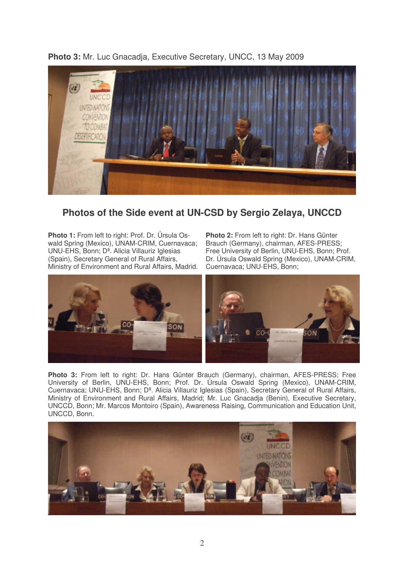

**Photo 3:** Mr. Luc Gnacadja, Executive Secretary, UNCC, 13 May 2009

### **Photos of the Side event at UN-CSD by Sergio Zelaya, UNCCD**

**Photo 1:** From left to right: Prof. Dr. Úrsula Oswald Spring (Mexico), UNAM-CRIM, Cuernavaca; UNU-EHS, Bonn; Dª. Alicia Villauriz Iglesias (Spain), Secretary General of Rural Affairs, Ministry of Environment and Rural Affairs, Madrid. **Photo 2:** From left to right: Dr. Hans Günter Brauch (Germany), chairman, AFES-PRESS; Free University of Berlin, UNU-EHS, Bonn; Prof. Dr. Úrsula Oswald Spring (Mexico), UNAM-CRIM, Cuernavaca; UNU-EHS, Bonn;



**Photo 3:** From left to right: Dr. Hans Günter Brauch (Germany), chairman, AFES-PRESS; Free University of Berlin, UNU-EHS, Bonn; Prof. Dr. Úrsula Oswald Spring (Mexico), UNAM-CRIM, Cuernavaca; UNU-EHS, Bonn; Dª. Alicia Villauriz Iglesias (Spain), Secretary General of Rural Affairs, Ministry of Environment and Rural Affairs, Madrid; Mr. Luc Gnacadja (Benin), Executive Secretary, UNCCD, Bonn; Mr. Marcos Montoiro (Spain), Awareness Raising, Communication and Education Unit, UNCCD, Bonn.